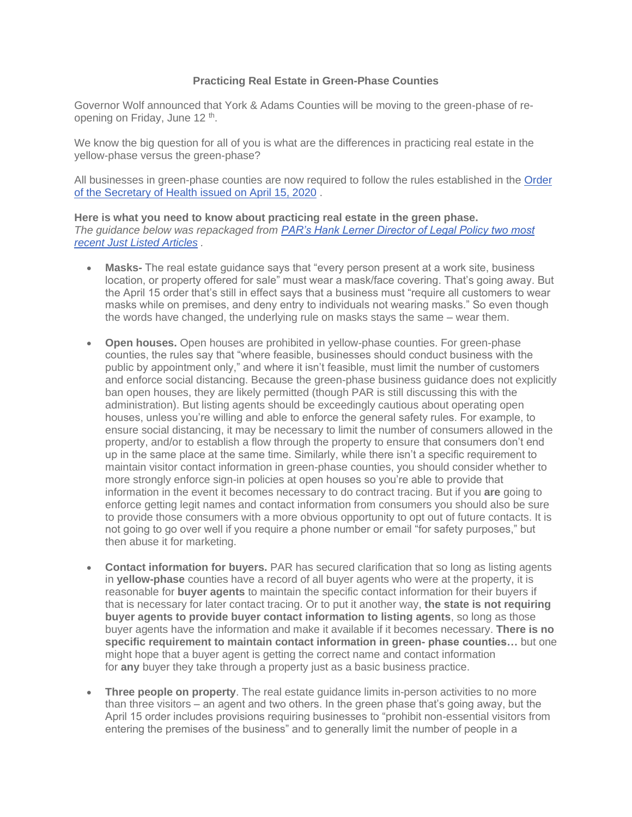## **Practicing Real Estate in Green-Phase Counties**

Governor Wolf announced that York & Adams Counties will be moving to the green-phase of reopening on Friday, June 12 <sup>th</sup>.

We know the big question for all of you is what are the differences in practicing real estate in the yellow-phase versus the green-phase?

All businesses in green-phase counties are now required to follow the rules established in the [Order](https://www.governor.pa.gov/wp-content/uploads/2020/04/20200415-SOH-worker-safety-order.pdf)  [of the Secretary of Health issued on April 15, 2020](https://www.governor.pa.gov/wp-content/uploads/2020/04/20200415-SOH-worker-safety-order.pdf) .

**Here is what you need to know about practicing real estate in the green phase.** *The guidance below was repackaged from [PAR's Hank Lerner Director of Legal Policy two most](https://www.parealtors.org/par-obtains-more-clarification-on-state-guidance-for-business-restrictions/?utm_campaign=JustListed%20Articles&utm_medium=email&_hsmi=89037360&_hsenc=p2ANqtz--2lH_C-lKB6Yql_Hh3YNqhF81dhcrOFrGlU-zLC6jZfQcXfVL3TM9_iq_9Q3SV2D8L1iycJZRGlHdOT62Y-UGgjgg_kg&utm_content=89037360&utm_source=hs_email)  [recent Just Listed Articles](https://www.parealtors.org/par-obtains-more-clarification-on-state-guidance-for-business-restrictions/?utm_campaign=JustListed%20Articles&utm_medium=email&_hsmi=89037360&_hsenc=p2ANqtz--2lH_C-lKB6Yql_Hh3YNqhF81dhcrOFrGlU-zLC6jZfQcXfVL3TM9_iq_9Q3SV2D8L1iycJZRGlHdOT62Y-UGgjgg_kg&utm_content=89037360&utm_source=hs_email) .*

- **Masks-** The real estate guidance says that "every person present at a work site, business location, or property offered for sale" must wear a mask/face covering. That's going away. But the April 15 order that's still in effect says that a business must "require all customers to wear masks while on premises, and deny entry to individuals not wearing masks." So even though the words have changed, the underlying rule on masks stays the same – wear them.
- **Open houses.** Open houses are prohibited in vellow-phase counties. For green-phase counties, the rules say that "where feasible, businesses should conduct business with the public by appointment only," and where it isn't feasible, must limit the number of customers and enforce social distancing. Because the green-phase business guidance does not explicitly ban open houses, they are likely permitted (though PAR is still discussing this with the administration). But listing agents should be exceedingly cautious about operating open houses, unless you're willing and able to enforce the general safety rules. For example, to ensure social distancing, it may be necessary to limit the number of consumers allowed in the property, and/or to establish a flow through the property to ensure that consumers don't end up in the same place at the same time. Similarly, while there isn't a specific requirement to maintain visitor contact information in green-phase counties, you should consider whether to more strongly enforce sign-in policies at open houses so you're able to provide that information in the event it becomes necessary to do contract tracing. But if you **are** going to enforce getting legit names and contact information from consumers you should also be sure to provide those consumers with a more obvious opportunity to opt out of future contacts. It is not going to go over well if you require a phone number or email "for safety purposes," but then abuse it for marketing.
- **Contact information for buyers.** PAR has secured clarification that so long as listing agents in **yellow-phase** counties have a record of all buyer agents who were at the property, it is reasonable for **buyer agents** to maintain the specific contact information for their buyers if that is necessary for later contact tracing. Or to put it another way, **the state is not requiring buyer agents to provide buyer contact information to listing agents**, so long as those buyer agents have the information and make it available if it becomes necessary. **There is no specific requirement to maintain contact information in green- phase counties…** but one might hope that a buyer agent is getting the correct name and contact information for **any** buyer they take through a property just as a basic business practice.
- **Three people on property**. The real estate guidance limits in-person activities to no more than three visitors – an agent and two others. In the green phase that's going away, but the April 15 order includes provisions requiring businesses to "prohibit non-essential visitors from entering the premises of the business" and to generally limit the number of people in a